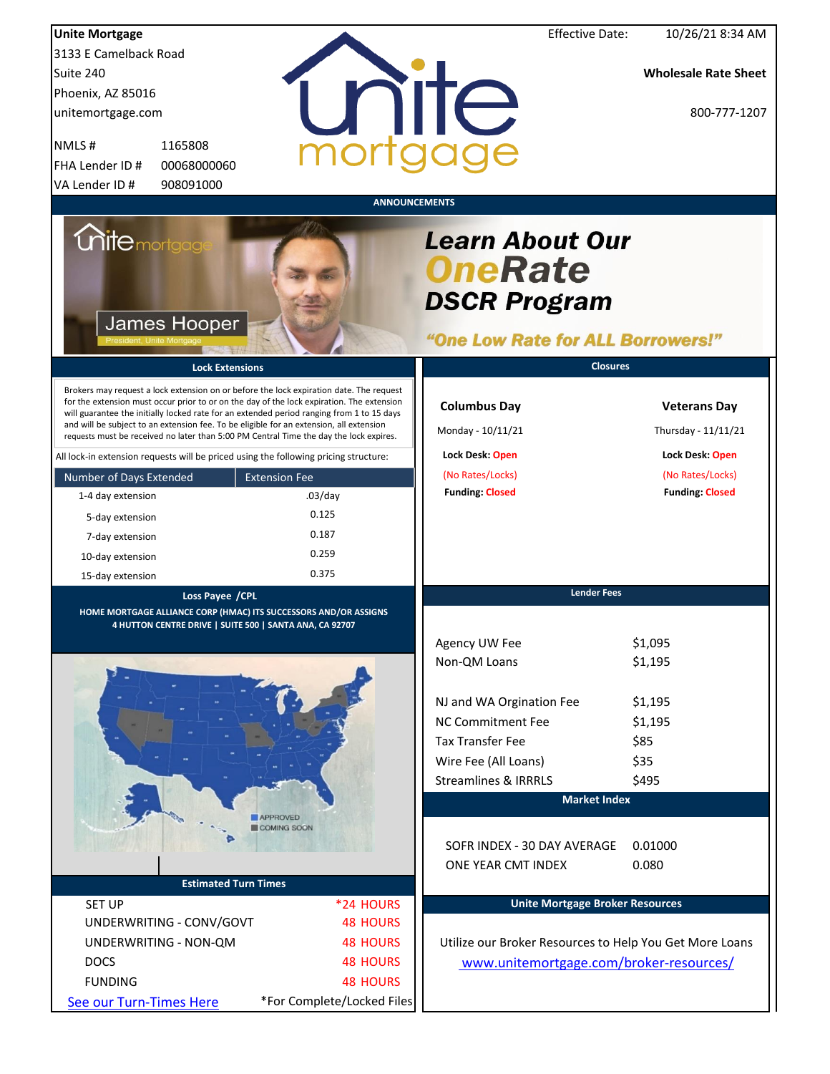| <b>Unite Mortgage</b>                                                                                                                                                                                                                                                                                                                                                                                                                                                  |                            | <b>Effective Date:</b>                                                                               | 10/26/21 8:34 AM                           |
|------------------------------------------------------------------------------------------------------------------------------------------------------------------------------------------------------------------------------------------------------------------------------------------------------------------------------------------------------------------------------------------------------------------------------------------------------------------------|----------------------------|------------------------------------------------------------------------------------------------------|--------------------------------------------|
| 3133 E Camelback Road                                                                                                                                                                                                                                                                                                                                                                                                                                                  |                            |                                                                                                      |                                            |
| Suite 240                                                                                                                                                                                                                                                                                                                                                                                                                                                              |                            |                                                                                                      | <b>Wholesale Rate Sheet</b>                |
| Phoenix, AZ 85016                                                                                                                                                                                                                                                                                                                                                                                                                                                      |                            |                                                                                                      |                                            |
| unitemortgage.com                                                                                                                                                                                                                                                                                                                                                                                                                                                      |                            | nite                                                                                                 | 800-777-1207                               |
|                                                                                                                                                                                                                                                                                                                                                                                                                                                                        |                            |                                                                                                      |                                            |
| NMLS#<br>1165808                                                                                                                                                                                                                                                                                                                                                                                                                                                       |                            |                                                                                                      |                                            |
| FHA Lender ID #<br>00068000060                                                                                                                                                                                                                                                                                                                                                                                                                                         |                            |                                                                                                      |                                            |
| 908091000<br>VA Lender ID#                                                                                                                                                                                                                                                                                                                                                                                                                                             |                            |                                                                                                      |                                            |
|                                                                                                                                                                                                                                                                                                                                                                                                                                                                        |                            | <b>ANNOUNCEMENTS</b>                                                                                 |                                            |
| <i><b>Unitemortgag</b></i><br>James Hooper                                                                                                                                                                                                                                                                                                                                                                                                                             |                            | <b>Learn About Our</b><br><b>OneRate</b><br><b>DSCR Program</b><br>"One Low Rate for ALL Borrowers!" |                                            |
| <b>Lock Extensions</b>                                                                                                                                                                                                                                                                                                                                                                                                                                                 |                            | <b>Closures</b>                                                                                      |                                            |
| Brokers may request a lock extension on or before the lock expiration date. The request<br>for the extension must occur prior to or on the day of the lock expiration. The extension<br>will guarantee the initially locked rate for an extended period ranging from 1 to 15 days<br>and will be subject to an extension fee. To be eligible for an extension, all extension<br>requests must be received no later than 5:00 PM Central Time the day the lock expires. |                            | <b>Columbus Day</b><br>Monday - 10/11/21                                                             | <b>Veterans Day</b><br>Thursday - 11/11/21 |
| All lock-in extension requests will be priced using the following pricing structure:                                                                                                                                                                                                                                                                                                                                                                                   |                            | Lock Desk: Open                                                                                      | Lock Desk: Open                            |
| Number of Days Extended                                                                                                                                                                                                                                                                                                                                                                                                                                                | <b>Extension Fee</b>       | (No Rates/Locks)                                                                                     | (No Rates/Locks)                           |
| 1-4 day extension                                                                                                                                                                                                                                                                                                                                                                                                                                                      | $.03$ /day                 | <b>Funding: Closed</b>                                                                               | <b>Funding: Closed</b>                     |
| 5-day extension                                                                                                                                                                                                                                                                                                                                                                                                                                                        | 0.125                      |                                                                                                      |                                            |
| 7-day extension                                                                                                                                                                                                                                                                                                                                                                                                                                                        | 0.187                      |                                                                                                      |                                            |
| 10-day extension                                                                                                                                                                                                                                                                                                                                                                                                                                                       | 0.259                      |                                                                                                      |                                            |
| 15-day extension                                                                                                                                                                                                                                                                                                                                                                                                                                                       | 0.375                      |                                                                                                      |                                            |
| Loss Payee / CPL<br>HOME MORTGAGE ALLIANCE CORP (HMAC) ITS SUCCESSORS AND/OR ASSIGNS<br><u>4 HUTTON CENTRE DRIVE   SUITE 500   SANTA ANA, CA 92707</u>                                                                                                                                                                                                                                                                                                                 |                            | <b>Lender Fees</b><br>Agency UW Fee<br>Non-QM Loans                                                  | \$1,095<br>\$1,195                         |
|                                                                                                                                                                                                                                                                                                                                                                                                                                                                        |                            | NJ and WA Orgination Fee                                                                             | \$1,195                                    |
|                                                                                                                                                                                                                                                                                                                                                                                                                                                                        |                            | <b>NC Commitment Fee</b>                                                                             | \$1,195                                    |
|                                                                                                                                                                                                                                                                                                                                                                                                                                                                        |                            | <b>Tax Transfer Fee</b>                                                                              | \$85                                       |
|                                                                                                                                                                                                                                                                                                                                                                                                                                                                        |                            | Wire Fee (All Loans)                                                                                 | \$35                                       |
|                                                                                                                                                                                                                                                                                                                                                                                                                                                                        |                            | <b>Streamlines &amp; IRRRLS</b>                                                                      | \$495                                      |
|                                                                                                                                                                                                                                                                                                                                                                                                                                                                        |                            | <b>Market Index</b>                                                                                  |                                            |
|                                                                                                                                                                                                                                                                                                                                                                                                                                                                        | APPROVED<br>COMING SOON    |                                                                                                      |                                            |
|                                                                                                                                                                                                                                                                                                                                                                                                                                                                        |                            | SOFR INDEX - 30 DAY AVERAGE<br>ONE YEAR CMT INDEX                                                    | 0.01000<br>0.080                           |
| <b>Estimated Turn Times</b>                                                                                                                                                                                                                                                                                                                                                                                                                                            |                            |                                                                                                      |                                            |
| <b>SET UP</b>                                                                                                                                                                                                                                                                                                                                                                                                                                                          | *24 HOURS                  | <b>Unite Mortgage Broker Resources</b>                                                               |                                            |
| UNDERWRITING - CONV/GOVT                                                                                                                                                                                                                                                                                                                                                                                                                                               | <b>48 HOURS</b>            |                                                                                                      |                                            |
| UNDERWRITING - NON-QM                                                                                                                                                                                                                                                                                                                                                                                                                                                  | <b>48 HOURS</b>            | Utilize our Broker Resources to Help You Get More Loans                                              |                                            |
| <b>DOCS</b>                                                                                                                                                                                                                                                                                                                                                                                                                                                            | <b>48 HOURS</b>            | www.unitemortgage.com/broker-resources/                                                              |                                            |
| <b>FUNDING</b>                                                                                                                                                                                                                                                                                                                                                                                                                                                         | <b>48 HOURS</b>            |                                                                                                      |                                            |
| See our Turn-Times Here                                                                                                                                                                                                                                                                                                                                                                                                                                                | *For Complete/Locked Files |                                                                                                      |                                            |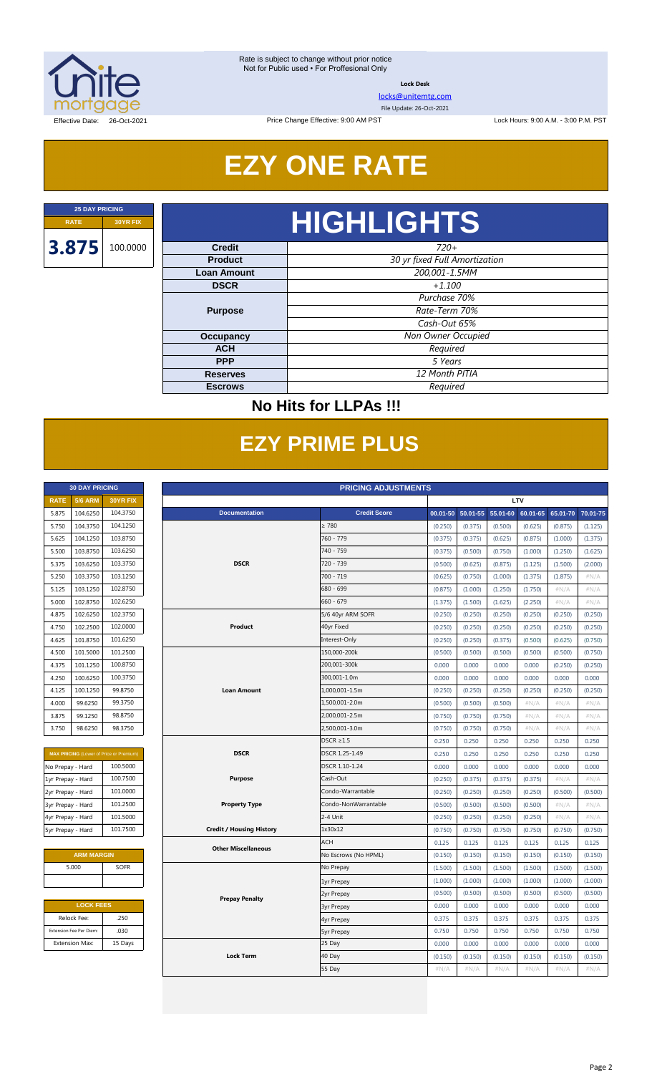

**Lock Desk**

[locks@unitemtg.com](mailto:locks@unitemtg.com)

File Update: 26-Oct-2021

Lock Hours: 9:00 A.M. - 3:00 P.M. PST

Effective Date: 26-Oct-2021

# **EZY ONE RATE**

Price Change Effective: 9:00 AM PST

# **RATE 30YR FIX HIGHLIGHTS**

| <b>Credit</b>      | $720+$                        |  |  |  |  |
|--------------------|-------------------------------|--|--|--|--|
| <b>Product</b>     | 30 yr fixed Full Amortization |  |  |  |  |
| <b>Loan Amount</b> | 200,001-1.5MM                 |  |  |  |  |
| <b>DSCR</b>        | $+1.100$                      |  |  |  |  |
|                    | Purchase 70%                  |  |  |  |  |
| <b>Purpose</b>     | Rate-Term 70%                 |  |  |  |  |
|                    | Cash-Out 65%                  |  |  |  |  |
| <b>Occupancy</b>   | Non Owner Occupied            |  |  |  |  |
| <b>ACH</b>         | Required                      |  |  |  |  |
| <b>PPP</b>         | 5 Years                       |  |  |  |  |
| <b>Reserves</b>    | 12 Month PITIA                |  |  |  |  |
| <b>Escrows</b>     | Required                      |  |  |  |  |

### **No Hits for LLPAs !!!**

# **EZY PRIME PLUS**

|             | <b>30 DAY PRICING</b> |                 |
|-------------|-----------------------|-----------------|
| <b>RATE</b> | <b>5/6 ARM</b>        | <b>30YR FIX</b> |
| 5.875       | 104.6250              | 104.3750        |
| 5.750       | 104.3750              | 104.1250        |
| 5.625       | 104.1250              | 103.8750        |
| 5.500       | 103.8750              | 103.6250        |
| 5.375       | 103.6250              | 103.3750        |
| 5.250       | 103.3750              | 103.1250        |
| 5.125       | 103.1250              | 102.8750        |
| 5.000       | 102.8750              | 102.6250        |
| 4.875       | 102.6250              | 102.3750        |
| 4.750       | 102.2500              | 102,0000        |
| 4.625       | 101.8750              | 101.6250        |
| 4.500       | 101.5000              | 101.2500        |
| 4.375       | 101.1250              | 100.8750        |
| 4.250       | 100.6250              | 100.3750        |
| 4.125       | 100.1250              | 99.8750         |
| 4.000       | 99.6250               | 99.3750         |
| 3.875       | 99.1250               | 98.8750         |
| 3.750       | 98.6250               | 98.3750         |

|                   | <b>MAX PRICING (Lower of Price or Premium)</b> |  |  |  |  |  |
|-------------------|------------------------------------------------|--|--|--|--|--|
| No Prepay - Hard  | 100.5000                                       |  |  |  |  |  |
| 1yr Prepay - Hard | 100.7500                                       |  |  |  |  |  |
| 2yr Prepay - Hard | 101.0000                                       |  |  |  |  |  |
| 3yr Prepay - Hard | 101.2500                                       |  |  |  |  |  |
| 4yr Prepay - Hard | 101.5000                                       |  |  |  |  |  |
| 5yr Prepay - Hard | 101.7500                                       |  |  |  |  |  |

| <b>ARM MARGIN</b> |             |  |  |  |  |  |
|-------------------|-------------|--|--|--|--|--|
| 5.000             | <b>SOFR</b> |  |  |  |  |  |
|                   |             |  |  |  |  |  |

| <b>LOCK FEES</b>        |         |  |  |  |  |  |
|-------------------------|---------|--|--|--|--|--|
| Relock Fee:             | .250    |  |  |  |  |  |
| Extension Fee Per Diem: | .030    |  |  |  |  |  |
| <b>Extension Max:</b>   | 15 Days |  |  |  |  |  |

|                   | <b>30 DAY PRICING</b><br><b>PRICING ADJUSTMENTS</b> |                                                |                                 |                      |          |              |          |          |          |          |
|-------------------|-----------------------------------------------------|------------------------------------------------|---------------------------------|----------------------|----------|--------------|----------|----------|----------|----------|
| <b>RATE</b>       | <b>5/6 ARM</b>                                      | 30YR FIX                                       |                                 |                      |          | LTV          |          |          |          |          |
| 5.875             | 104.6250                                            | 104.3750                                       | <b>Documentation</b>            | <b>Credit Score</b>  | 00.01-50 | $50.01 - 55$ | 55.01-60 | 60.01-65 | 65.01-70 | 70.01-75 |
| 5.750             | 104.3750                                            | 104.1250                                       |                                 | $\geq 780$           | (0.250)  | (0.375)      | (0.500)  | (0.625)  | (0.875)  | (1.125)  |
| 5.625             | 104.1250                                            | 103.8750                                       |                                 | 760 - 779            | (0.375)  | (0.375)      | (0.625)  | (0.875)  | (1.000)  | (1.375)  |
| 5.500             | 103.8750                                            | 103.6250                                       |                                 | 740 - 759            | (0.375)  | (0.500)      | (0.750)  | (1.000)  | (1.250)  | (1.625)  |
| 5.375             | 103.6250                                            | 103.3750                                       | <b>DSCR</b>                     | 720 - 739            | (0.500)  | (0.625)      | (0.875)  | (1.125)  | (1.500)  | (2.000)  |
| 5.250             | 103.3750                                            | 103.1250                                       |                                 | $700 - 719$          | (0.625)  | (0.750)      | (1.000)  | (1.375)  | (1.875)  | #N/A     |
| 5.125             | 103.1250                                            | 102.8750                                       |                                 | 680 - 699            | (0.875)  | (1.000)      | (1.250)  | (1.750)  | #N/A     | #N/A     |
| 5.000             | 102.8750                                            | 102.6250                                       |                                 | $660 - 679$          | (1.375)  | (1.500)      | (1.625)  | (2.250)  | $\#N/A$  | #N/A     |
| 4.875             | 102.6250                                            | 102.3750                                       |                                 | 5/6 40yr ARM SOFR    | (0.250)  | (0.250)      | (0.250)  | (0.250)  | (0.250)  | (0.250)  |
| 4.750             | 102.2500                                            | 102.0000                                       | Product                         | 40yr Fixed           | (0.250)  | (0.250)      | (0.250)  | (0.250)  | (0.250)  | (0.250)  |
| 4.625             | 101.8750                                            | 101.6250                                       |                                 | Interest-Only        | (0.250)  | (0.250)      | (0.375)  | (0.500)  | (0.625)  | (0.750)  |
| 4.500             | 101.5000                                            | 101.2500                                       |                                 | 150,000-200k         | (0.500)  | (0.500)      | (0.500)  | (0.500)  | (0.500)  | (0.750)  |
| 4.375             | 101.1250                                            | 100.8750                                       |                                 | 200,001-300k         | 0.000    | 0.000        | 0.000    | 0.000    | (0.250)  | (0.250)  |
| 4.250             | 100.6250                                            | 100.3750                                       |                                 | 300,001-1.0m         | 0.000    | 0.000        | 0.000    | 0.000    | 0.000    | 0.000    |
| 4.125             | 100.1250                                            | 99.8750                                        | <b>Loan Amount</b>              | 1,000,001-1.5m       | (0.250)  | (0.250)      | (0.250)  | (0.250)  | (0.250)  | (0.250)  |
| 4.000             | 99.6250                                             | 99.3750                                        |                                 | 1,500,001-2.0m       | (0.500)  | (0.500)      | (0.500)  | $\#N/A$  | #N/A     | #N/A     |
| 3.875             | 99.1250                                             | 98.8750                                        |                                 | 2,000,001-2.5m       | (0.750)  | (0.750)      | (0.750)  | $\#N/A$  | $\#N/A$  | $\#N/A$  |
| 3.750             | 98.6250                                             | 98.3750                                        |                                 | 2,500,001-3.0m       | (0.750)  | (0.750)      | (0.750)  | $\#N/A$  | $\#N/A$  | $\#N/A$  |
|                   |                                                     |                                                |                                 | $DSCR \geq 1.5$      | 0.250    | 0.250        | 0.250    | 0.250    | 0.250    | 0.250    |
|                   |                                                     | <b>MAX PRICING</b> (Lower of Price or Premium) | <b>DSCR</b>                     | DSCR 1.25-1.49       | 0.250    | 0.250        | 0.250    | 0.250    | 0.250    | 0.250    |
| No Prepay - Hard  |                                                     | 100.5000                                       |                                 | DSCR 1.10-1.24       | 0.000    | 0.000        | 0.000    | 0.000    | 0.000    | 0.000    |
| 1yr Prepay - Hard |                                                     | 100.7500                                       | Purpose                         | Cash-Out             | (0.250)  | (0.375)      | (0.375)  | (0.375)  | $\#N/A$  | #N/A     |
| 2yr Prepay - Hard |                                                     | 101.0000                                       |                                 | Condo-Warrantable    | (0.250)  | (0.250)      | (0.250)  | (0.250)  | (0.500)  | (0.500)  |
| 3yr Prepay - Hard |                                                     | 101.2500                                       | <b>Property Type</b>            | Condo-NonWarrantable | (0.500)  | (0.500)      | (0.500)  | (0.500)  | #N/A     | #N/A     |
| 4yr Prepay - Hard |                                                     | 101.5000                                       |                                 | 2-4 Unit             | (0.250)  | (0.250)      | (0.250)  | (0.250)  | #N/A     | #N/A     |
| 5yr Prepay - Hard |                                                     | 101.7500                                       | <b>Credit / Housing History</b> | 1x30x12              | (0.750)  | (0.750)      | (0.750)  | (0.750)  | (0.750)  | (0.750)  |
|                   |                                                     |                                                | <b>Other Miscellaneous</b>      | <b>ACH</b>           | 0.125    | 0.125        | 0.125    | 0.125    | 0.125    | 0.125    |
|                   | <b>ARM MARGIN</b>                                   |                                                |                                 | No Escrows (No HPML) | (0.150)  | (0.150)      | (0.150)  | (0.150)  | (0.150)  | (0.150)  |
|                   | 5.000                                               | <b>SOFR</b>                                    |                                 | No Prepay            | (1.500)  | (1.500)      | (1.500)  | (1.500)  | (1.500)  | (1.500)  |
|                   |                                                     |                                                |                                 | 1yr Prepay           | (1.000)  | (1.000)      | (1.000)  | (1.000)  | (1.000)  | (1.000)  |
|                   |                                                     |                                                | <b>Prepay Penalty</b>           | 2yr Prepay           | (0.500)  | (0.500)      | (0.500)  | (0.500)  | (0.500)  | (0.500)  |
| <b>LOCK FEES</b>  |                                                     |                                                |                                 | <b>3yr Prepay</b>    | 0.000    | 0.000        | 0.000    | 0.000    | 0.000    | 0.000    |
|                   | Relock Fee:                                         | .250                                           |                                 | 4yr Prepay           | 0.375    | 0.375        | 0.375    | 0.375    | 0.375    | 0.375    |
|                   | Extension Fee Per Diem:                             | .030                                           |                                 | <b>5yr Prepay</b>    | 0.750    | 0.750        | 0.750    | 0.750    | 0.750    | 0.750    |
|                   | <b>Extension Max:</b>                               | 15 Days                                        |                                 | 25 Day               | 0.000    | 0.000        | 0.000    | 0.000    | 0.000    | 0.000    |
|                   |                                                     |                                                | <b>Lock Term</b>                | 40 Day               | (0.150)  | (0.150)      | (0.150)  | (0.150)  | (0.150)  | (0.150)  |
|                   |                                                     |                                                |                                 | 55 Day               | #N/A     | $\#N/A$      | $\#N/A$  | $\#N/A$  | #N/A     | #N/A     |
|                   |                                                     |                                                |                                 |                      |          |              |          |          |          |          |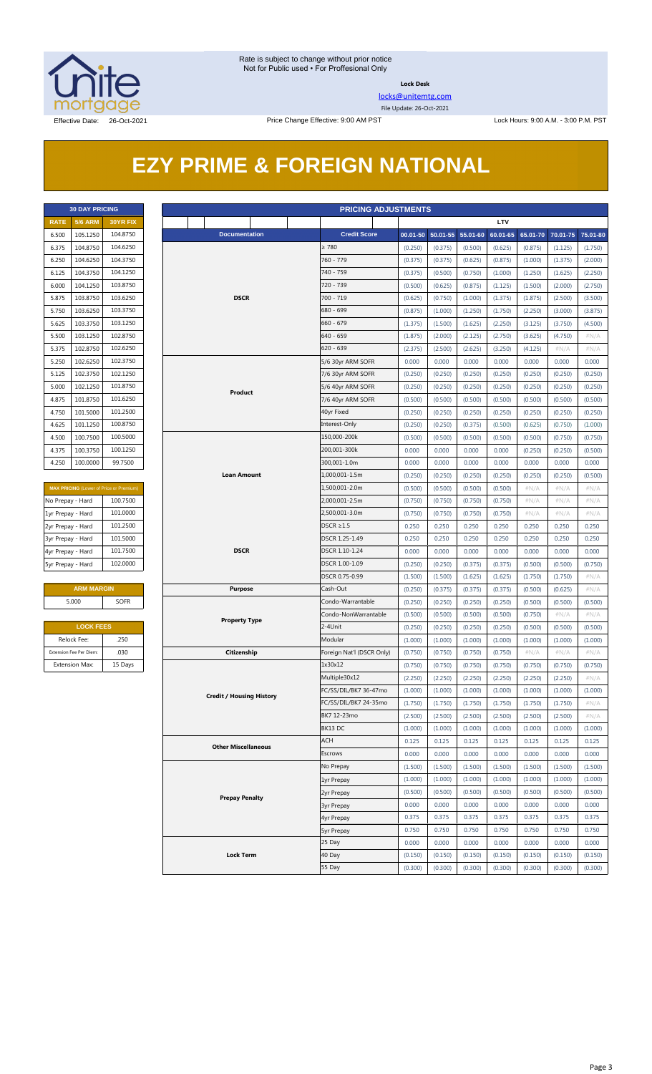

**Lock Desk**

[locks@unitemtg.com](mailto:locks@unitemtg.com) File Update: 26-Oct-2021

# **EZY PRIME & FOREIGN NATIONAL**

|             | <b>30 DAY PRICING</b> |                 |
|-------------|-----------------------|-----------------|
| <b>RATE</b> | <b>5/6 ARM</b>        | <b>30YR FIX</b> |
| 6.500       | 105.1250              | 104.8750        |
| 6.375       | 104.8750              | 104.6250        |
| 6.250       | 104.6250              | 104.3750        |
| 6.125       | 104.3750              | 104.1250        |
| 6.000       | 104.1250              | 103.8750        |
| 5.875       | 103.8750              | 103.6250        |
| 5.750       | 103.6250              | 103.3750        |
| 5.625       | 103.3750              | 103.1250        |
| 5.500       | 103.1250              | 102.8750        |
| 5.375       | 102.8750              | 102.6250        |
| 5.250       | 102.6250              | 102.3750        |
| 5.125       | 102.3750              | 102.1250        |
| 5.000       | 102.1250              | 101.8750        |
| 4.875       | 101.8750              | 101.6250        |
| 4.750       | 101.5000              | 101.2500        |
| 4.625       | 101.1250              | 100.8750        |
| 4.500       | 100.7500              | 100.5000        |
| 4.375       | 100.3750              | 100.1250        |
| 4.250       | 100.0000              | 99.7500         |

| <b>MAX PRICING</b> (Lower of Price or Premium) |  |  |  |  |  |  |  |
|------------------------------------------------|--|--|--|--|--|--|--|
| 100.7500                                       |  |  |  |  |  |  |  |
| 101.0000                                       |  |  |  |  |  |  |  |
| 101.2500                                       |  |  |  |  |  |  |  |
| 101.5000                                       |  |  |  |  |  |  |  |
| 101.7500                                       |  |  |  |  |  |  |  |
| 102,0000                                       |  |  |  |  |  |  |  |
|                                                |  |  |  |  |  |  |  |

#### **ARM MARGIN** 5.000 SOFR

| <b>LOCK FEES</b>        |         |  |  |  |  |  |  |
|-------------------------|---------|--|--|--|--|--|--|
| Relock Fee:             | .250    |  |  |  |  |  |  |
| Extension Fee Per Diem: | .030    |  |  |  |  |  |  |
| <b>Extension Max:</b>   | 15 Days |  |  |  |  |  |  |

|                   | <b>30 DAY PRICING</b><br><b>PRICING ADJUSTMENTS</b> |                                                |                                 |                |                           |                    |                       |                    |                    |                    |                    |                 |
|-------------------|-----------------------------------------------------|------------------------------------------------|---------------------------------|----------------|---------------------------|--------------------|-----------------------|--------------------|--------------------|--------------------|--------------------|-----------------|
| <b>RATE</b>       | <b>5/6 ARM</b>                                      | 30YR FIX                                       |                                 |                |                           |                    |                       |                    | LTV                |                    |                    |                 |
| 6.500             | 105.1250                                            | 104.8750                                       | <b>Documentation</b>            |                | <b>Credit Score</b>       |                    | $00.01 - 50$ 50.01-55 | 55.01-60           | 60.01-65           | 65.01-70           | 70.01-75           | 75.01-80        |
| 6.375             | 104.8750                                            | 104.6250                                       |                                 |                |                           | (0.250)            | (0.375)               | (0.500)            | (0.625)            | (0.875)            | (1.125)            | (1.750)         |
| 6.250             | 104.6250                                            | 104.3750                                       |                                 |                | 760 - 779                 | (0.375)            | (0.375)               | (0.625)            | (0.875)            | (1.000)            | (1.375)            | (2.000)         |
| 6.125             | 104.3750                                            | 104.1250                                       |                                 |                | 740 - 759                 | (0.375)            | (0.500)               | (0.750)            | (1.000)            | (1.250)            | (1.625)            | (2.250)         |
| 6.000             | 104.1250                                            | 103.8750                                       |                                 |                | 720 - 739                 | (0.500)            | (0.625)               | (0.875)            | (1.125)            | (1.500)            | (2.000)            | (2.750)         |
| 5.875             | 103.8750                                            | 103.6250                                       | <b>DSCR</b>                     |                | 700 - 719                 | (0.625)            | (0.750)               | (1.000)            | (1.375)            | (1.875)            | (2.500)            | (3.500)         |
| 5.750             | 103.6250                                            | 103.3750                                       |                                 |                | 680 - 699                 | (0.875)            | (1.000)               | (1.250)            | (1.750)            | (2.250)            | (3.000)            | (3.875)         |
| 5.625             | 103.3750                                            | 103.1250                                       |                                 |                | $660 - 679$               | (1.375)            | (1.500)               | (1.625)            | (2.250)            | (3.125)            | (3.750)            | (4.500)         |
| 5.500             | 103.1250                                            | 102.8750                                       |                                 |                | 640 - 659                 | (1.875)            | (2.000)               | (2.125)            | (2.750)            | (3.625)            | (4.750)            | $\#N/A$         |
| 5.375             | 102.8750                                            | 102.6250                                       |                                 |                | $620 - 639$               | (2.375)            | (2.500)               | (2.625)            | (3.250)            | (4.125)            | #N/A               | $\#N/A$         |
| 5.250             | 102.6250                                            | 102.3750                                       |                                 |                | 5/6 30yr ARM SOFR         | 0.000              | 0.000                 | 0.000              | 0.000              | 0.000              | 0.000              | 0.000           |
| 5.125             | 102.3750                                            | 102.1250                                       |                                 |                | 7/6 30yr ARM SOFR         | (0.250)            | (0.250)               | (0.250)            | (0.250)            | (0.250)            | (0.250)            | (0.250)         |
| 5.000             | 102.1250                                            | 101.8750                                       | Product                         |                | 5/6 40yr ARM SOFR         | (0.250)            | (0.250)               | (0.250)            | (0.250)            | (0.250)            | (0.250)            | (0.250)         |
| 4.875             | 101.8750                                            | 101.6250                                       |                                 |                | 7/6 40yr ARM SOFR         | (0.500)            | (0.500)               | (0.500)            | (0.500)            | (0.500)            | (0.500)            | (0.500)         |
| 4.750             | 101.5000                                            | 101.2500                                       |                                 |                | 40yr Fixed                | (0.250)            | (0.250)               | (0.250)            | (0.250)            | (0.250)            | (0.250)            | (0.250)         |
| 4.625             | 101.1250                                            | 100.8750                                       |                                 |                | Interest-Only             | (0.250)            | (0.250)               | (0.375)            | (0.500)            | (0.625)            | (0.750)            | (1.000)         |
| 4.500             | 100.7500                                            | 100.5000                                       |                                 |                | 150,000-200k              | (0.500)            | (0.500)               | (0.500)            | (0.500)            | (0.500)            | (0.750)            | (0.750)         |
| 4.375             | 100.3750                                            | 100.1250                                       |                                 |                | 200,001-300k              | 0.000              | 0.000                 | 0.000              | 0.000              | (0.250)            | (0.250)            | (0.500)         |
| 4.250             | 100.0000                                            | 99.7500                                        |                                 |                | 300,001-1.0m              | 0.000              | 0.000                 | 0.000              | 0.000              | 0.000              | 0.000              | 0.000           |
|                   |                                                     |                                                | Loan Amount                     | 1,000,001-1.5m | (0.250)                   | (0.250)            | (0.250)               | (0.250)            | (0.250)            | (0.250)            | (0.500)            |                 |
|                   |                                                     | <b>MAX PRICING</b> (Lower of Price or Premium) |                                 |                | 1,500,001-2.0m            | (0.500)            | (0.500)               | (0.500)            | (0.500)            | $\#N/A$            | #N/A               | #N/A            |
| No Prepay - Hard  |                                                     | 100.7500                                       |                                 |                | 2,000,001-2.5m            | (0.750)            | (0.750)               | (0.750)            | (0.750)            | $\#N/A$            | #N/A               | $\#N/A$         |
| 1yr Prepay - Hard |                                                     | 101.0000                                       |                                 |                |                           | (0.750)            | (0.750)               | (0.750)            | (0.750)            | $\#N/A$            | $\#N/A$            | $\#N/A$         |
| 2yr Prepay - Hard |                                                     | 101.2500                                       |                                 |                | DSCR $\geq$ 1.5           | 0.250              | 0.250                 | 0.250              | 0.250              | 0.250              | 0.250              | 0.250           |
| 3yr Prepay - Hard |                                                     | 101.5000                                       |                                 |                | DSCR 1.25-1.49            | 0.250              | 0.250                 | 0.250              | 0.250              | 0.250              | 0.250              | 0.250           |
| 4yr Prepay - Hard |                                                     | 101.7500                                       | <b>DSCR</b>                     |                | DSCR 1.10-1.24            | 0.000              | 0.000                 | 0.000              | 0.000              | 0.000              | 0.000              | 0.000           |
| 5yr Prepay - Hard |                                                     | 102.0000                                       |                                 |                | DSCR 1.00-1.09            | (0.250)            | (0.250)               | (0.375)            | (0.375)            | (0.500)            | (0.500)            | (0.750)         |
|                   |                                                     |                                                |                                 |                | DSCR 0.75-0.99            | (1.500)            | (1.500)               | (1.625)            | (1.625)            | (1.750)            | (1.750)            | $\#N/A$         |
|                   | <b>ARM MARGIN</b>                                   |                                                | <b>Purpose</b>                  |                | Cash-Out                  | (0.250)            | (0.375)               | (0.375)            | (0.375)            | (0.500)            | (0.625)            | $\#N/A$         |
|                   | 5.000                                               | SOFR                                           |                                 |                | Condo-Warrantable         | (0.250)            | (0.250)               | (0.250)            | (0.250)            | (0.500)            | (0.500)            | (0.500)         |
|                   |                                                     |                                                | <b>Property Type</b>            |                | Condo-NonWarrantable      | (0.500)            | (0.500)               | (0.500)            | (0.500)            | (0.750)            | $\#N/A$            | #N/A            |
|                   | <b>LOCK FEES</b>                                    |                                                |                                 |                | 2-4Unit                   | (0.250)            | (0.250)               | (0.250)            | (0.250)            | (0.500)            | (0.500)            | (0.500)         |
|                   | Relock Fee:<br>Extension Fee Per Diem:              | .250<br>.030                                   |                                 |                | Modular                   | (1.000)            | (1.000)               | (1.000)            | (1.000)            | (1.000)            | (1.000)            | (1.000)         |
|                   |                                                     |                                                | Citizenship                     |                | Foreign Nat'l (DSCR Only) | (0.750)            | (0.750)               | (0.750)            | (0.750)            | #N/A               | $\#N/A$            | $\#N/A$         |
|                   | Extension Max:                                      | 15 Days                                        |                                 |                | 1x30x12<br>Multiple30x12  | (0.750)<br>(2.250) | (0.750)<br>(2.250)    | (0.750)<br>(2.250) | (0.750)<br>(2.250) | (0.750)<br>(2.250) | (0.750)<br>(2.250) | (0.750)<br>#N/A |
|                   |                                                     |                                                |                                 |                | FC/SS/DIL/BK7 36-47mo     | (1.000)            | (1.000)               | (1.000)            | (1.000)            | (1.000)            | (1.000)            | (1.000)         |
|                   |                                                     |                                                | <b>Credit / Housing History</b> |                | FC/SS/DIL/BK7 24-35mo     | (1.750)            | (1.750)               | (1.750)            | (1.750)            | (1.750)            | (1.750)            | $\#N/A$         |
|                   |                                                     |                                                |                                 |                | BK7 12-23mo               | (2.500)            | (2.500)               | (2.500)            | (2.500)            | (2.500)            | (2.500)            | # $N/A$         |
|                   |                                                     |                                                |                                 |                | BK13 DC                   | (1.000)            | (1.000)               | (1.000)            | (1.000)            | (1.000)            | (1.000)            | (1.000)         |
|                   |                                                     |                                                |                                 |                | ACH                       | 0.125              | 0.125                 | 0.125              | 0.125              | 0.125              | 0.125              | 0.125           |
|                   |                                                     |                                                | <b>Other Miscellaneous</b>      |                | Escrows                   | 0.000              | 0.000                 | 0.000              | 0.000              | 0.000              | 0.000              | 0.000           |
|                   |                                                     |                                                |                                 |                | No Prepay                 | (1.500)            | (1.500)               | (1.500)            | (1.500)            | (1.500)            | (1.500)            | (1.500)         |
|                   |                                                     |                                                |                                 |                | 1yr Prepay                | (1.000)            | (1.000)               | (1.000)            | (1.000)            | (1.000)            | (1.000)            | (1.000)         |
|                   |                                                     |                                                |                                 |                | 2yr Prepay                | (0.500)            | (0.500)               | (0.500)            | (0.500)            | (0.500)            | (0.500)            | (0.500)         |
|                   |                                                     |                                                | <b>Prepay Penalty</b>           |                | <b>3yr Prepay</b>         | 0.000              | 0.000                 | 0.000              | 0.000              | 0.000              | 0.000              | 0.000           |
|                   |                                                     |                                                |                                 |                | 4yr Prepay                | 0.375              | 0.375                 | 0.375              | 0.375              | 0.375              | 0.375              | 0.375           |
|                   |                                                     |                                                |                                 |                | <b>5yr Prepay</b>         | 0.750              | 0.750                 | 0.750              | 0.750              | 0.750              | 0.750              | 0.750           |
|                   |                                                     |                                                |                                 |                | 25 Day                    | 0.000              | 0.000                 | 0.000              | 0.000              | 0.000              | 0.000              | 0.000           |
|                   |                                                     |                                                | <b>Lock Term</b>                |                | 40 Day                    | (0.150)            | (0.150)               | (0.150)            | (0.150)            | (0.150)            | (0.150)            | (0.150)         |
|                   |                                                     |                                                |                                 |                | 55 Day                    | (0.300)            | (0.300)               | (0.300)            | (0.300)            | (0.300)            | (0.300)            | (0.300)         |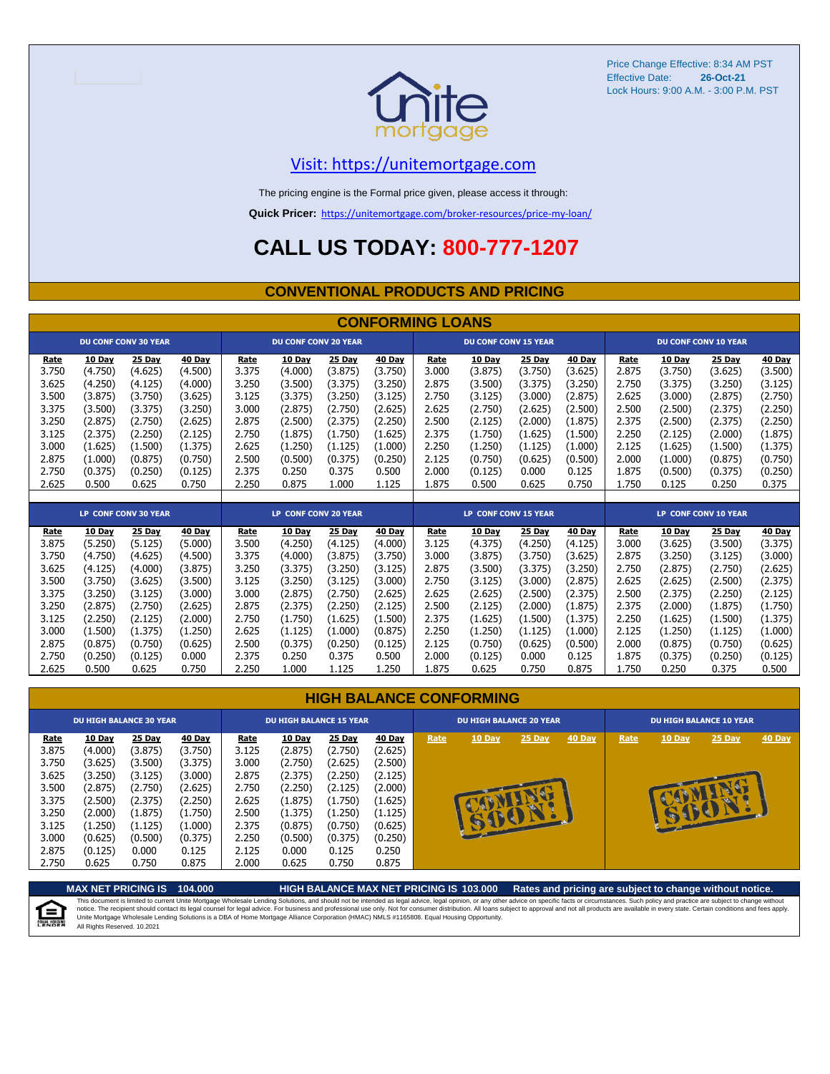

Price Change Effective: 8:34 AM PST Effective Date: Lock Hours: 9:00 A.M. - 3:00 P.M. PST **26-Oct-21**

#### [V](https://unitemortgage.com/)isit: https://unitemortgage.com

The pricing engine is the Formal price given, please access it through:

**Quick Pricer:** [https://un](https://unitemortgage.com/broker-resources/price-my-loan/)itemortgage.com/broker-resources/price-my-loan/

## **CALL US TODAY: 800-777-1207**

#### **CONVENTIONAL PRODUCTS AND PRICING**

|       | <b>CONFORMING LOANS</b> |                             |               |       |                             |               |               |       |                             |               |               |       |               |                             |               |
|-------|-------------------------|-----------------------------|---------------|-------|-----------------------------|---------------|---------------|-------|-----------------------------|---------------|---------------|-------|---------------|-----------------------------|---------------|
|       |                         | <b>DU CONF CONV 30 YEAR</b> |               |       | <b>DU CONF CONV 20 YEAR</b> |               |               |       | <b>DU CONF CONV 15 YEAR</b> |               |               |       |               | <b>DU CONF CONV 10 YEAR</b> |               |
| Rate  | <b>10 Day</b>           | 25 Day                      | <b>40 Day</b> | Rate  | <b>10 Day</b>               | <b>25 Day</b> | <b>40 Day</b> | Rate  | <b>10 Day</b>               | 25 Day        | <b>40 Day</b> | Rate  | <b>10 Day</b> | <b>25 Day</b>               | <b>40 Day</b> |
| 3.750 | (4.750)                 | (4.625)                     | (4.500)       | 3.375 | (4.000)                     | (3.875)       | (3.750)       | 3.000 | (3.875)                     | (3.750)       | (3.625)       | 2.875 | (3.750)       | (3.625)                     | (3.500)       |
| 3.625 | (4.250)                 | (4.125)                     | (4.000)       | 3.250 | (3.500)                     | (3.375)       | (3.250)       | 2.875 | (3.500)                     | (3.375)       | (3.250)       | 2.750 | (3.375)       | (3.250)                     | (3.125)       |
| 3.500 | (3.875)                 | (3.750)                     | (3.625)       | 3.125 | (3.375)                     | (3.250)       | (3.125)       | 2.750 | (3.125)                     | (3.000)       | (2.875)       | 2.625 | (3.000)       | (2.875)                     | (2.750)       |
| 3.375 | (3.500)                 | (3.375)                     | (3.250)       | 3.000 | (2.875)                     | (2.750)       | (2.625)       | 2.625 | (2.750)                     | (2.625)       | (2.500)       | 2.500 | (2.500)       | (2.375)                     | (2.250)       |
| 3.250 | (2.875)                 | (2.750)                     | (2.625)       | 2.875 | (2.500)                     | (2.375)       | (2.250)       | 2.500 | (2.125)                     | (2.000)       | (1.875)       | 2.375 | (2.500)       | (2.375)                     | (2.250)       |
| 3.125 | (2.375)                 | (2.250)                     | (2.125)       | 2.750 | (1.875)                     | (1.750)       | (1.625)       | 2.375 | (1.750)                     | (1.625)       | (1.500)       | 2.250 | (2.125)       | (2.000)                     | (1.875)       |
| 3.000 | (1.625)                 | (1.500)                     | (1.375)       | 2.625 | (1.250)                     | (1.125)       | (1.000)       | 2.250 | (1.250)                     | (1.125)       | (1.000)       | 2.125 | (1.625)       | (1.500)                     | (1.375)       |
| 2.875 | (1.000)                 | (0.875)                     | (0.750)       | 2.500 | (0.500)                     | (0.375)       | (0.250)       | 2.125 | (0.750)                     | (0.625)       | (0.500)       | 2.000 | (1.000)       | (0.875)                     | (0.750)       |
| 2.750 | (0.375)                 | (0.250)                     | (0.125)       | 2.375 | 0.250                       | 0.375         | 0.500         | 2.000 | (0.125)                     | 0.000         | 0.125         | 1.875 | (0.500)       | (0.375)                     | (0.250)       |
| 2.625 | 0.500                   | 0.625                       | 0.750         | 2.250 | 0.875                       | 1.000         | 1.125         | 1.875 | 0.500                       | 0.625         | 0.750         | 1.750 | 0.125         | 0.250                       | 0.375         |
|       |                         |                             |               |       |                             |               |               |       |                             |               |               |       |               |                             |               |
|       |                         | <b>LP CONF CONV 30 YEAR</b> |               |       | <b>LP CONF CONV 20 YEAR</b> |               |               |       | <b>LP CONF CONV 15 YEAR</b> |               |               |       |               | <b>LP CONF CONV 10 YEAR</b> |               |
| Rate  | 10 Day                  | $25$ Day                    | 40 Day        | Rate  | 10 Day                      | 25 Day        | 40 Day        | Rate  | 10 Day                      | <b>25 Day</b> | 40 Day        | Rate  | <b>10 Day</b> | <b>25 Day</b>               | <b>40 Day</b> |
| 3.875 | (5.250)                 | (5.125)                     | (5.000)       | 3.500 | (4.250)                     | (4.125)       | (4.000)       | 3.125 | (4.375)                     | (4.250)       | (4.125)       | 3.000 | (3.625)       | (3.500)                     | (3.375)       |
| 3.750 | (4.750)                 | (4.625)                     | (4.500)       | 3.375 | (4.000)                     | (3.875)       | (3.750)       | 3.000 | (3.875)                     | (3.750)       | (3.625)       | 2.875 | (3.250)       | (3.125)                     | (3.000)       |
| 3.625 | (4.125)                 | (4.000)                     | (3.875)       | 3.250 | (3.375)                     | (3.250)       | (3.125)       | 2.875 | (3.500)                     | (3.375)       | (3.250)       | 2.750 | (2.875)       | (2.750)                     | (2.625)       |
| 3.500 | (3.750)                 | (3.625)                     | (3.500)       | 3.125 | (3.250)                     | (3.125)       | (3.000)       | 2.750 | (3.125)                     | (3.000)       | (2.875)       | 2.625 | (2.625)       | (2.500)                     | (2.375)       |
| 3.375 | (3.250)                 | (3.125)                     | (3.000)       | 3.000 | (2.875)                     | (2.750)       | (2.625)       | 2.625 | (2.625)                     | (2.500)       | (2.375)       | 2.500 | (2.375)       | (2.250)                     | (2.125)       |
| 3.250 | (2.875)                 | (2.750)                     | (2.625)       | 2.875 | (2.375)                     | (2.250)       | (2.125)       | 2.500 | (2.125)                     | (2.000)       | (1.875)       | 2.375 | (2.000)       | (1.875)                     | (1.750)       |
| 3.125 | (2.250)                 | (2.125)                     | (2.000)       | 2.750 | (1.750)                     | (1.625)       | (1.500)       | 2.375 | (1.625)                     | (1.500)       | (1.375)       | 2.250 | (1.625)       | (1.500)                     | (1.375)       |

|  | <b>HIGH BALANCE CONFORMING</b> |
|--|--------------------------------|
|  |                                |

3.000 (1.500) (1.375) (1.250) 2.625 (1.125) (1.000) (0.875) 2.250 (1.250) (1.125) (1.000) 2.125 (1.250) (1.125) (1.000) 2.875 (0.875) (0.750) (0.625) 2.500 (0.375) (0.250) (0.125) 2.125 (0.750) (0.625) (0.500) 2.000 (0.875) (0.750) (0.625) 2.750 (0.250) (0.125) 0.000 2.375 0.250 0.375 0.500 2.000 (0.125) 0.000 0.125 1.875 (0.375) (0.250) (0.125) 2.625 0.500 0.625 0.750 2.250 1.000 1.125 1.250 1.875 0.625 0.750 0.875 1.750 0.250 0.375 0.500

|             |               | <b>DU HIGH BALANCE 30 YEAR</b> |         |       | <b>DU HIGH BALANCE 15 YEAR</b> |         |         | <b>DU HIGH BALANCE 20 YEAR</b> |               |        |        | <b>DU HIGH BALANCE 10 YEAR</b> |               |          |               |  |
|-------------|---------------|--------------------------------|---------|-------|--------------------------------|---------|---------|--------------------------------|---------------|--------|--------|--------------------------------|---------------|----------|---------------|--|
| <u>Rate</u> | <b>10 Day</b> | <b>25 Day</b>                  | 40 Day  | Rate  | <b>10 Day</b>                  | 25 Day  | 40 Day  | Rate                           | <b>10 Day</b> | 25 Day | 40 Day | Rate                           | <b>10 Day</b> | $25$ Day | <b>40 Day</b> |  |
| 3.875       | (4.000)       | (3.875)                        | (3.750) | 3.125 | (2.875)                        | (2.750) | (2.625) |                                |               |        |        |                                |               |          |               |  |
| 3.750       | (3.625)       | (3.500)                        | (3.375) | 3.000 | (2.750)                        | (2.625) | (2.500) |                                |               |        |        |                                |               |          |               |  |
| 3.625       | (3.250)       | (3.125)                        | (3.000) | 2.875 | (2.375)                        | (2.250) | (2.125) |                                |               |        |        |                                |               |          |               |  |
| 3.500       | (2.875)       | (2.750)                        | (2.625) | 2.750 | (2.250)                        | (2.125) | (2.000) |                                |               |        |        |                                |               |          |               |  |
| 3.375       | (2.500)       | (2.375)                        | (2.250) | 2.625 | (1.875)                        | (1.750) | (1.625) |                                |               |        |        |                                |               |          |               |  |
| 3.250       | (2.000)       | (1.875)                        | (1.750) | 2.500 | (1.375)                        | (1.250) | (1.125) |                                |               | æ      |        |                                | <b>B</b>      |          |               |  |
| 3.125       | (1.250)       | (1.125)                        | (1.000) | 2.375 | (0.875)                        | (0.750) | (0.625) |                                | <b>SPEAL</b>  |        |        |                                |               |          |               |  |
| 3.000       | (0.625)       | (0.500)                        | (0.375) | 2.250 | (0.500)                        | (0.375) | (0.250) |                                |               |        |        |                                |               |          |               |  |
| 2.875       | (0.125)       | 0.000                          | 0.125   | 2.125 | 0.000                          | 0.125   | 0.250   |                                |               |        |        |                                |               |          |               |  |
| 2.750       | 0.625         | 0.750                          | 0.875   | 2.000 | 0.625                          | 0.750   | 0.875   |                                |               |        |        |                                |               |          |               |  |
|             |               |                                |         |       |                                |         |         |                                |               |        |        |                                |               |          |               |  |

**MAX NET PRICING IS 104.000 HIGH BALANCE MAX NET PRICING IS 103.000 Rates and pricing are subject to change without notice.** This document is limited to current Unite Mortgage Wholesale Lending Solutions, and should not be intended as legal advice, legal opinion, or any other advice on specific facts or circumstances. Such policy and practice ar 自 All Rights Reserved. 10.2021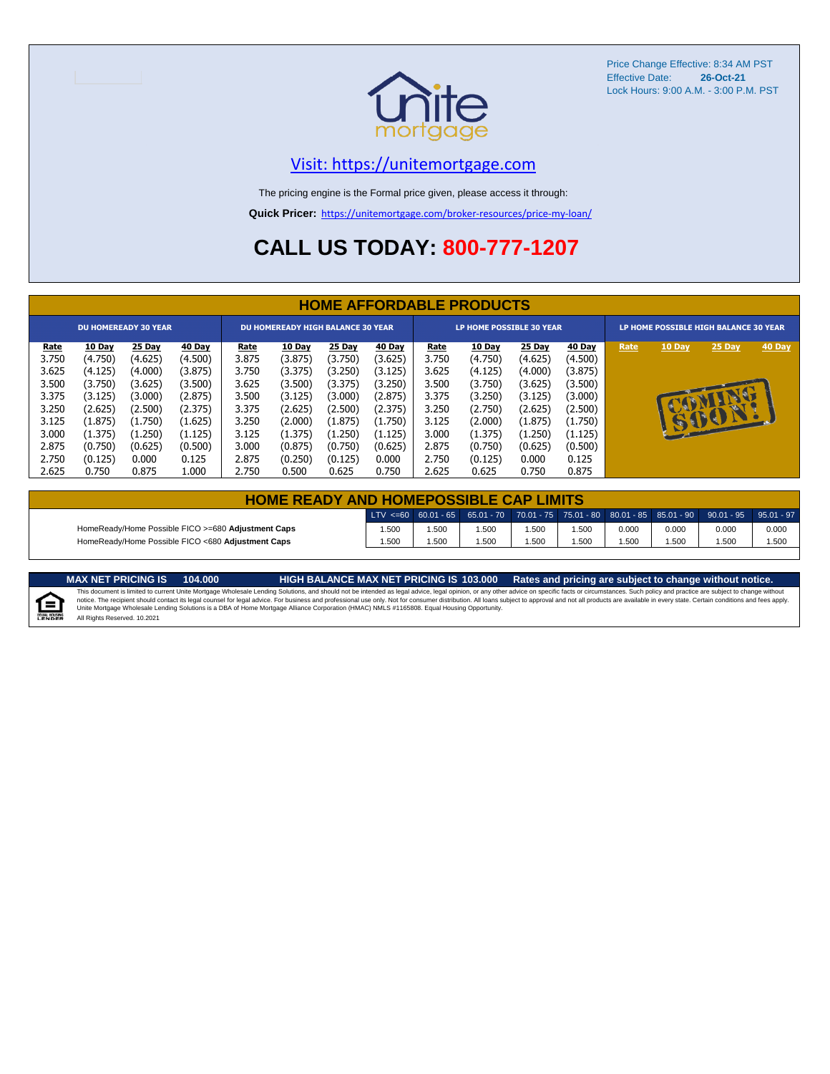

Price Change Effective: 8:34 AM PST Effective Date: **26-Oct-21** Lock Hours: 9:00 A.M. - 3:00 P.M. PST

#### [V](https://unitemortgage.com/)isit: https://unitemortgage.com

The pricing engine is the Formal price given, please access it through:

**Quick Pricer:** [https://un](https://unitemortgage.com/broker-resources/price-my-loan/)itemortgage.com/broker-resources/price-my-loan/

## **CALL US TODAY: 800-777-1207**

|             | <b>HOME AFFORDABLE PRODUCTS</b> |                             |         |             |                                          |         |         |             |                                 |         |         |                                       |              |          |        |
|-------------|---------------------------------|-----------------------------|---------|-------------|------------------------------------------|---------|---------|-------------|---------------------------------|---------|---------|---------------------------------------|--------------|----------|--------|
|             |                                 | <b>DU HOMEREADY 30 YEAR</b> |         |             | <b>DU HOMEREADY HIGH BALANCE 30 YEAR</b> |         |         |             | <b>LP HOME POSSIBLE 30 YEAR</b> |         |         | LP HOME POSSIBLE HIGH BALANCE 30 YEAR |              |          |        |
| <u>Rate</u> | 10 Day                          | 25 Day                      | 40 Day  | <b>Rate</b> | 10 Day                                   | 25 Day  | 40 Day  | <u>Rate</u> | 10 Day                          | 25 Day  | 40 Day  | Rate                                  | 10 Day       | 25 Day   | 40 Day |
| 3.750       | (4.750)                         | (4.625)                     | (4.500) | 3.875       | (3.875)                                  | (3.750) | (3.625) | 3.750       | (4.750)                         | (4.625) | (4.500) |                                       |              |          |        |
| 3.625       | (4.125)                         | (4.000)                     | (3.875) | 3.750       | (3.375)                                  | (3.250) | (3.125) | 3.625       | (4.125)                         | (4.000) | (3.875) |                                       |              |          |        |
| 3.500       | (3.750)                         | (3.625)                     | (3.500) | 3.625       | (3.500)                                  | (3.375) | (3.250) | 3.500       | (3.750)                         | (3.625) | (3.500) |                                       |              |          |        |
| 3.375       | (3.125)                         | (3.000)                     | (2.875) | 3.500       | (3.125)                                  | (3.000) | (2.875) | 3.375       | (3.250)                         | (3.125) | (3.000) |                                       |              | <b>D</b> |        |
| 3.250       | (2.625)                         | (2.500)                     | (2.375) | 3.375       | (2.625)                                  | (2.500) | (2.375) | 3.250       | (2.750)                         | (2.625) | (2.500) |                                       |              |          |        |
| 3.125       | (1.875)                         | (1.750)                     | (1.625) | 3.250       | (2.000)                                  | (1.875) | (1.750) | 3.125       | (2.000)                         | (1.875) | (1.750) |                                       | $\mathbf{u}$ | SSSSIL   |        |
| 3.000       | (1.375)                         | (1.250)                     | (1.125) | 3.125       | (1.375)                                  | (1.250) | (1.125) | 3.000       | (1.375)                         | (1.250) | (1.125) |                                       |              |          |        |
| 2.875       | (0.750)                         | (0.625)                     | (0.500) | 3.000       | (0.875)                                  | (0.750) | (0.625) | 2.875       | (0.750)                         | (0.625) | (0.500) |                                       |              |          |        |
| 2.750       | (0.125)                         | 0.000                       | 0.125   | 2.875       | (0.250)                                  | (0.125) | 0.000   | 2.750       | (0.125)                         | 0.000   | 0.125   |                                       |              |          |        |
| 2.625       | 0.750                           | 0.875                       | 1.000   | 2.750       | 0.500                                    | 0.625   | 0.750   | 2.625       | 0.625                           | 0.750   | 0.875   |                                       |              |          |        |

| <b>HOME READY AND HOMEPOSSIBLE CAP LIMITS</b>      |       |      |      |      |       |       |       |                                                                                                  |       |
|----------------------------------------------------|-------|------|------|------|-------|-------|-------|--------------------------------------------------------------------------------------------------|-------|
|                                                    |       |      |      |      |       |       |       | LTV <=60 60.01 - 65 65.01 - 70 70.01 - 75 75.01 - 80 80.01 - 85 85.01 - 90 90.01 - 95 95.01 - 97 |       |
| HomeReady/Home Possible FICO >=680 Adjustment Caps | .500  | .500 | .500 | .500 | 1.500 | 0.000 | 0.000 | 0.000                                                                                            | 0.000 |
| HomeReady/Home Possible FICO <680 Adjustment Caps  | 1.500 | .500 | .500 | .500 | .500  | .500  | 1.500 | .500                                                                                             | 1.500 |

MAX NET PRICING IS 103.000 Rates and pricing are subject to change without notice.<br>This document is limited to current Unite Mortgage Wholesale Lending Solutions, and should not be intended as legal advice, legal opinion,



All Rights Reserved. 10.2021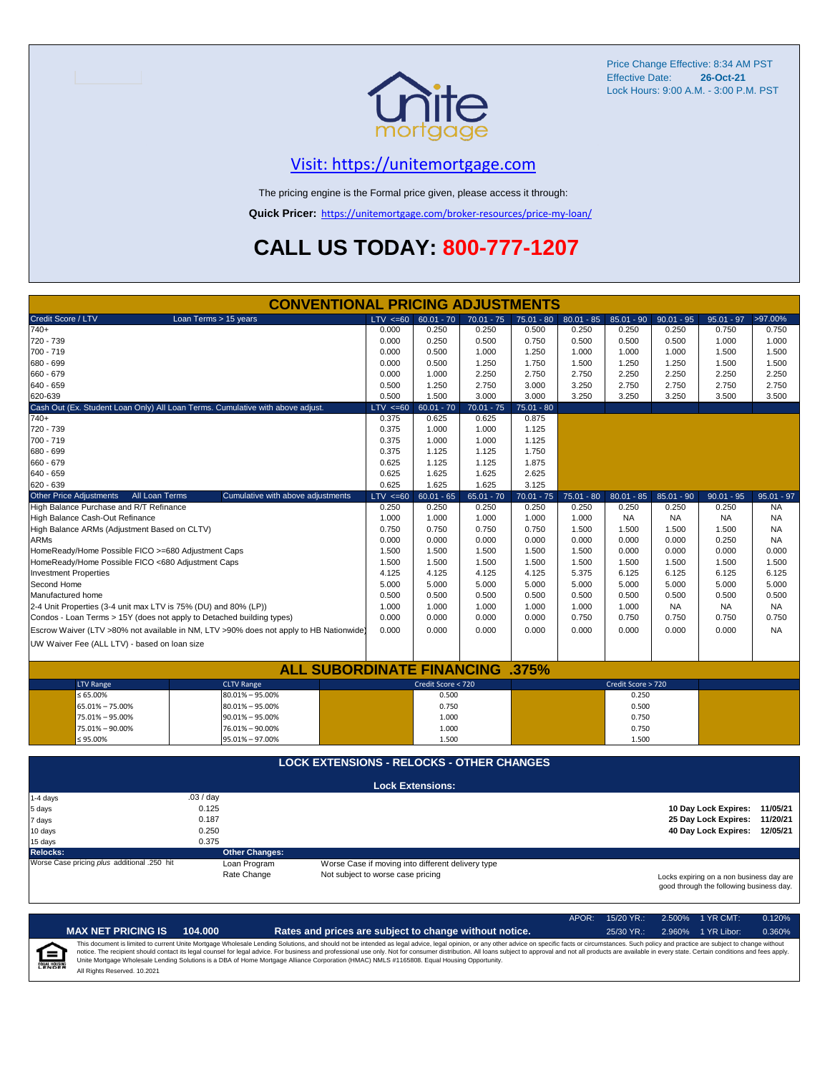

Price Change Effective: 8:34 AM PST Effective Date: **26-Oct-21** Lock Hours: 9:00 A.M. - 3:00 P.M. PST

#### [V](https://unitemortgage.com/)isit: https://unitemortgage.com

The pricing engine is the Formal price given, please access it through:

**Quick Pricer:** [https://un](https://unitemortgage.com/broker-resources/price-my-loan/)itemortgage.com/broker-resources/price-my-loan/

# **CALL US TODAY: 800-777-1207**

| <b>CONVENTIONAL PRICING ADJUSTMENTS</b>                                                |                                                  |              |                                                   |              |              |                       |                       |                    |                                          |                        |  |
|----------------------------------------------------------------------------------------|--------------------------------------------------|--------------|---------------------------------------------------|--------------|--------------|-----------------------|-----------------------|--------------------|------------------------------------------|------------------------|--|
| Credit Score / LTV                                                                     | Loan Terms > 15 years                            | $LTV \le 60$ | $60.01 - 70$                                      | $70.01 - 75$ | $75.01 - 80$ | $80.01 - 85$          | $85.01 - 90$          | $90.01 - 95$       | $95.01 - 97$                             | >97.00%                |  |
| $740+$                                                                                 |                                                  | 0.000        | 0.250                                             | 0.250        | 0.500        | 0.250                 | 0.250                 | 0.250              | 0.750                                    | 0.750                  |  |
| 720 - 739                                                                              |                                                  | 0.000        | 0.250                                             | 0.500        | 0.750        | 0.500                 | 0.500                 | 0.500              | 1.000                                    | 1.000                  |  |
| 700 - 719                                                                              |                                                  | 0.000        | 0.500                                             | 1.000        | 1.250        | 1.000                 | 1.000                 | 1.000              | 1.500                                    | 1.500                  |  |
| 680 - 699                                                                              |                                                  | 0.000        | 0.500                                             | 1.250        | 1.750        | 1.500                 | 1.250                 | 1.250              | 1.500                                    | 1.500                  |  |
| 660 - 679                                                                              |                                                  | 0.000        | 1.000                                             | 2.250        | 2.750        | 2.750                 | 2.250                 | 2.250              | 2.250                                    | 2.250                  |  |
| 640 - 659                                                                              |                                                  | 0.500        | 1.250                                             | 2.750        | 3.000        | 3.250                 | 2.750                 | 2.750              | 2.750                                    | 2.750                  |  |
| 620-639                                                                                |                                                  | 0.500        | 1.500                                             | 3.000        | 3.000        | 3.250                 | 3.250                 | 3.250              | 3.500                                    | 3.500                  |  |
| Cash Out (Ex. Student Loan Only) All Loan Terms. Cumulative with above adjust.         |                                                  | $LTV \le 60$ | $60.01 - 70$                                      | $70.01 - 75$ | $75.01 - 80$ |                       |                       |                    |                                          |                        |  |
| $740+$                                                                                 |                                                  | 0.375        | 0.625                                             | 0.625        | 0.875        |                       |                       |                    |                                          |                        |  |
| 720 - 739                                                                              |                                                  | 0.375        | 1.000                                             | 1.000        | 1.125        |                       |                       |                    |                                          |                        |  |
| 700 - 719                                                                              |                                                  | 0.375        | 1.000                                             | 1.000        | 1.125        |                       |                       |                    |                                          |                        |  |
| 680 - 699                                                                              |                                                  | 0.375        | 1.125                                             | 1.125        | 1.750        |                       |                       |                    |                                          |                        |  |
| 660 - 679                                                                              |                                                  | 0.625        | 1.125                                             | 1.125        | 1.875        |                       |                       |                    |                                          |                        |  |
| $640 - 659$                                                                            |                                                  | 0.625        | 1.625                                             | 1.625        | 2.625        |                       |                       |                    |                                          |                        |  |
| 620 - 639                                                                              |                                                  | 0.625        | 1.625                                             | 1.625        | 3.125        |                       |                       |                    |                                          |                        |  |
| All Loan Terms                                                                         |                                                  |              |                                                   |              |              |                       |                       |                    |                                          |                        |  |
| <b>Other Price Adjustments</b>                                                         | Cumulative with above adjustments                | $LTV \le 60$ | $60.01 - 65$                                      | $65.01 - 70$ | $70.01 - 75$ | $75.01 - 80$<br>0.250 | $80.01 - 85$<br>0.250 | $85.01 - 90$       | $90.01 - 95$                             | $95.01 - 97$           |  |
| High Balance Purchase and R/T Refinance                                                |                                                  | 0.250        | 0.250                                             | 0.250        | 0.250        | 1.000                 | <b>NA</b>             | 0.250<br><b>NA</b> | 0.250<br><b>NA</b>                       | <b>NA</b><br><b>NA</b> |  |
| High Balance Cash-Out Refinance                                                        |                                                  | 1.000        | 1.000                                             | 1.000        | 1.000        |                       |                       |                    |                                          |                        |  |
| High Balance ARMs (Adjustment Based on CLTV)                                           |                                                  | 0.750        | 0.750                                             | 0.750        | 0.750        | 1.500                 | 1.500                 | 1.500              | 1.500                                    | <b>NA</b>              |  |
| <b>ARMs</b>                                                                            |                                                  | 0.000        | 0.000                                             | 0.000        | 0.000        | 0.000                 | 0.000                 | 0.000              | 0.250                                    | <b>NA</b>              |  |
| HomeReady/Home Possible FICO >=680 Adjustment Caps                                     |                                                  | 1.500        | 1.500                                             | 1.500        | 1.500        | 1.500                 | 0.000                 | 0.000              | 0.000                                    | 0.000                  |  |
| HomeReady/Home Possible FICO <680 Adjustment Caps                                      |                                                  | 1.500        | 1.500                                             | 1.500        | 1.500        | 1.500                 | 1.500                 | 1.500              | 1.500                                    | 1.500                  |  |
| <b>Investment Properties</b>                                                           |                                                  | 4.125        | 4.125                                             | 4.125        | 4.125        | 5.375                 | 6.125                 | 6.125              | 6.125                                    | 6.125                  |  |
| Second Home                                                                            |                                                  | 5.000        | 5.000                                             | 5.000        | 5.000        | 5.000                 | 5.000                 | 5.000              | 5.000                                    | 5.000                  |  |
| Manufactured home                                                                      |                                                  | 0.500        | 0.500                                             | 0.500        | 0.500        | 0.500                 | 0.500                 | 0.500              | 0.500                                    | 0.500                  |  |
| 2-4 Unit Properties (3-4 unit max LTV is 75% (DU) and 80% (LP))                        |                                                  | 1.000        | 1.000                                             | 1.000        | 1.000        | 1.000                 | 1.000                 | <b>NA</b>          | NA                                       | <b>NA</b>              |  |
| Condos - Loan Terms > 15Y (does not apply to Detached building types)                  |                                                  | 0.000        | 0.000                                             | 0.000        | 0.000        | 0.750                 | 0.750                 | 0.750              | 0.750                                    | 0.750                  |  |
| Escrow Waiver (LTV >80% not available in NM, LTV >90% does not apply to HB Nationwide) |                                                  | 0.000        | 0.000                                             | 0.000        | 0.000        | 0.000                 | 0.000                 | 0.000              | 0.000                                    | <b>NA</b>              |  |
| UW Waiver Fee (ALL LTV) - based on loan size                                           |                                                  |              |                                                   |              |              |                       |                       |                    |                                          |                        |  |
|                                                                                        |                                                  |              |                                                   |              |              |                       |                       |                    |                                          |                        |  |
|                                                                                        | <b>ALL SUBORDINATE FINANCING .375%</b>           |              |                                                   |              |              |                       |                       |                    |                                          |                        |  |
| <b>LTV Range</b>                                                                       | <b>CLTV Range</b>                                |              | Credit Score < 720                                |              |              |                       | Credit Score > 720    |                    |                                          |                        |  |
| $\leq 65.00\%$                                                                         | 80.01% - 95.00%                                  |              | 0.500                                             |              |              |                       | 0.250                 |                    |                                          |                        |  |
| 65.01% - 75.00%                                                                        | $80.01\% - 95.00\%$                              |              | 0.750                                             |              |              |                       | 0.500                 |                    |                                          |                        |  |
| 75.01% - 95.00%                                                                        | $90.01\% - 95.00\%$                              |              | 1.000                                             |              |              |                       | 0.750                 |                    |                                          |                        |  |
| 75.01% - 90.00%                                                                        | 76.01% - 90.00%                                  |              | 1.000                                             |              |              |                       | 0.750                 |                    |                                          |                        |  |
| $≤ 95.00\%$                                                                            | 95.01% - 97.00%                                  |              | 1.500                                             |              |              |                       | 1.500                 |                    |                                          |                        |  |
|                                                                                        |                                                  |              |                                                   |              |              |                       |                       |                    |                                          |                        |  |
|                                                                                        | <b>LOCK EXTENSIONS - RELOCKS - OTHER CHANGES</b> |              |                                                   |              |              |                       |                       |                    |                                          |                        |  |
|                                                                                        |                                                  |              |                                                   |              |              |                       |                       |                    |                                          |                        |  |
| 1-4 days                                                                               | .03 / day                                        |              | <b>Lock Extensions:</b>                           |              |              |                       |                       |                    |                                          |                        |  |
| 5 days                                                                                 | 0.125                                            |              |                                                   |              |              |                       |                       |                    | 10 Day Lock Expires:                     | 11/05/21               |  |
|                                                                                        | 0.187                                            |              |                                                   |              |              |                       |                       |                    | 25 Day Lock Expires:                     | 11/20/21               |  |
| 7 days                                                                                 | 0.250                                            |              |                                                   |              |              |                       |                       |                    | 40 Day Lock Expires: 12/05/21            |                        |  |
| 10 days                                                                                |                                                  |              |                                                   |              |              |                       |                       |                    |                                          |                        |  |
| 15 days                                                                                | 0.375                                            |              |                                                   |              |              |                       |                       |                    |                                          |                        |  |
| <b>Relocks:</b>                                                                        | <b>Other Changes:</b>                            |              |                                                   |              |              |                       |                       |                    |                                          |                        |  |
| Worse Case pricing plus additional .250 hit                                            | Loan Program                                     |              | Worse Case if moving into different delivery type |              |              |                       |                       |                    |                                          |                        |  |
|                                                                                        | Rate Change<br>Not subject to worse case pricing |              |                                                   |              |              |                       |                       |                    | Locks expiring on a non business day are |                        |  |
|                                                                                        |                                                  |              |                                                   |              |              |                       |                       |                    | good through the following business day. |                        |  |

|                            |                              |         |                                                                                                                                                                                                                                                                                                                                                                                                                                                                                                                                                                                                                | APOR: | $15/20$ YR.: | 2.500% 1 YR CMT:   | 0.120% |
|----------------------------|------------------------------|---------|----------------------------------------------------------------------------------------------------------------------------------------------------------------------------------------------------------------------------------------------------------------------------------------------------------------------------------------------------------------------------------------------------------------------------------------------------------------------------------------------------------------------------------------------------------------------------------------------------------------|-------|--------------|--------------------|--------|
|                            | <b>MAX NET PRICING IS</b>    | 104.000 | Rates and prices are subject to change without notice.                                                                                                                                                                                                                                                                                                                                                                                                                                                                                                                                                         |       | $25/30$ YR.: | 2.960% 1 YR Libor: | 0.360% |
| 1=<br><b>EQUAL HOUSING</b> | All Rights Reserved, 10,2021 |         | This document is limited to current Unite Mortgage Wholesale Lending Solutions, and should not be intended as legal advice, legal opinion, or any other advice on specific facts or circumstances. Such policy and practice ar<br>notice. The recipient should contact its legal counsel for legal advice. For business and professional use only. Not for consumer distribution. All loans subject to approval and not all products are available in every stat<br>Unite Mortgage Wholesale Lending Solutions is a DBA of Home Mortgage Alliance Corporation (HMAC) NMLS #1165808. Equal Housing Opportunity. |       |              |                    |        |